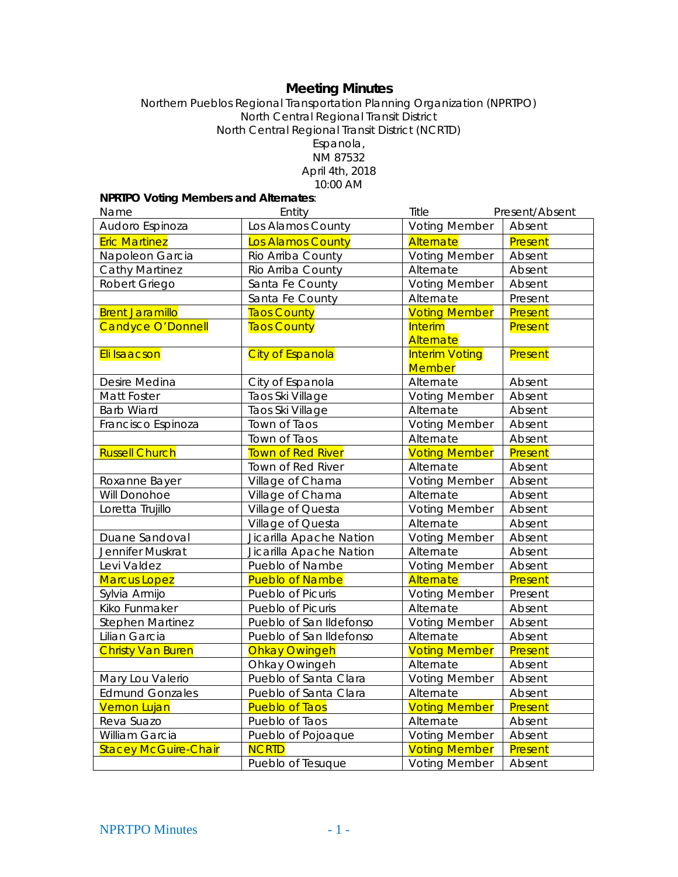# **Meeting Minutes**

Northern Pueblos Regional Transportation Planning Organization (NPRTPO) North Central Regional Transit District North Central Regional Transit District (NCRTD) Espanola, NM 87532 April 4th, 2018 10:00 AM

## **NPRTPO Voting Members and Alternates**:

| Name                        | Entity                   | Title<br>Present/Absent                |         |
|-----------------------------|--------------------------|----------------------------------------|---------|
| Audoro Espinoza             | Los Alamos County        | <b>Voting Member</b>                   | Absent  |
| <b>Eric Martinez</b>        | Los Alamos County        | Alternate                              | Present |
| Napoleon Garcia             | Rio Arriba County        | <b>Voting Member</b>                   | Absent  |
| <b>Cathy Martinez</b>       | Rio Arriba County        | Alternate                              | Absent  |
| Robert Griego               | Santa Fe County          | <b>Voting Member</b>                   | Absent  |
|                             | Santa Fe County          | Alternate                              | Present |
| <b>Brent Jaramillo</b>      | <b>Taos County</b>       | <b>Voting Member</b>                   | Present |
| Candyce O'Donnell           | <b>Taos County</b>       | <b>Interim</b>                         | Present |
|                             |                          | Alternate                              |         |
| Eli Isaacson                | <b>City of Espanola</b>  | <b>Interim Voting</b><br><b>Member</b> | Present |
| Desire Medina               | City of Espanola         | Alternate                              | Absent  |
| Matt Foster                 | Taos Ski Village         | <b>Voting Member</b>                   | Absent  |
| <b>Barb Wiard</b>           | Taos Ski Village         | Alternate                              | Absent  |
| Francisco Espinoza          | Town of Taos             | <b>Voting Member</b>                   | Absent  |
|                             | Town of Taos             | Alternate                              | Absent  |
| <b>Russell Church</b>       | <b>Town of Red River</b> | <b>Voting Member</b>                   | Present |
|                             | Town of Red River        | Alternate                              | Absent  |
| Roxanne Bayer               | Village of Chama         | <b>Voting Member</b>                   | Absent  |
| Will Donohoe                | Village of Chama         | Alternate                              | Absent  |
| Loretta Trujillo            | Village of Questa        | <b>Voting Member</b>                   | Absent  |
|                             | Village of Questa        | Alternate                              | Absent  |
| Duane Sandoval              | Jicarilla Apache Nation  | <b>Voting Member</b>                   | Absent  |
| Jennifer Muskrat            | Jicarilla Apache Nation  | Alternate                              | Absent  |
| Levi Valdez                 | Pueblo of Nambe          | <b>Voting Member</b>                   | Absent  |
| <b>Marcus Lopez</b>         | <b>Pueblo of Nambe</b>   | <b>Alternate</b>                       | Present |
| Sylvia Armijo               | Pueblo of Picuris        | <b>Voting Member</b>                   | Present |
| Kiko Funmaker               | Pueblo of Picuris        | Alternate                              | Absent  |
| <b>Stephen Martinez</b>     | Pueblo of San Ildefonso  | <b>Voting Member</b>                   | Absent  |
| Lilian Garcia               | Pueblo of San Ildefonso  | Alternate                              | Absent  |
| <b>Christy Van Buren</b>    | <b>Ohkay Owingeh</b>     | <b>Voting Member</b>                   | Present |
|                             | Ohkay Owingeh            | Alternate                              | Absent  |
| Mary Lou Valerio            | Pueblo of Santa Clara    | <b>Voting Member</b>                   | Absent  |
| <b>Edmund Gonzales</b>      | Pueblo of Santa Clara    | Alternate                              | Absent  |
| <b>Vernon Lujan</b>         | <b>Pueblo of Taos</b>    | <b>Voting Member</b>                   | Present |
| Reva Suazo                  | Pueblo of Taos           | Alternate                              | Absent  |
| William Garcia              | Pueblo of Pojoaque       | <b>Voting Member</b>                   | Absent  |
| <b>Stacey McGuire-Chair</b> | <b>NCRTD</b>             | <b>Voting Member</b>                   | Present |
|                             | Pueblo of Tesuque        | <b>Voting Member</b>                   | Absent  |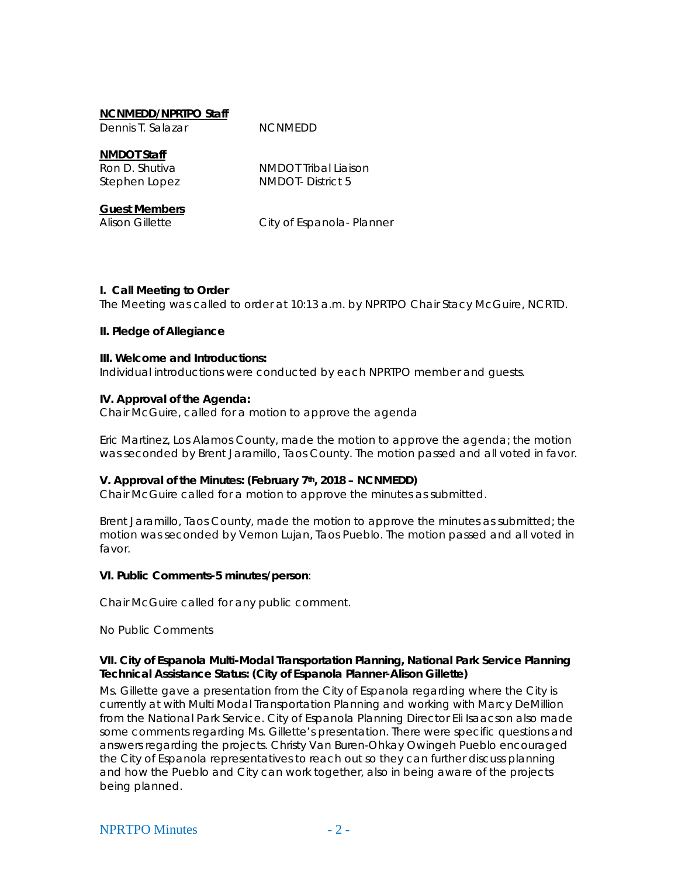#### **NCNMEDD/NPRTPO Staff**

Dennis T. Salazar MCNMEDD

**NMDOT Staff** Ron D. Shutiva NMDOT Tribal Liaison Stephen Lopez NMDOT- District 5

**Guest Members**

Alison Gillette City of Espanola- Planner

#### **I. Call Meeting to Order**

The Meeting was called to order at 10:13 a.m. by NPRTPO Chair Stacy McGuire, NCRTD.

#### **II. Pledge of Allegiance**

#### **III. Welcome and Introductions:**

Individual introductions were conducted by each NPRTPO member and guests.

#### **IV. Approval of the Agenda:**

Chair McGuire, called for a motion to approve the agenda

Eric Martinez, Los Alamos County, made the motion to approve the agenda; the motion was seconded by Brent Jaramillo, Taos County. The motion passed and all voted in favor.

## **V. Approval of the Minutes: (February 7th, 2018 – NCNMEDD)**

Chair McGuire called for a motion to approve the minutes as submitted.

Brent Jaramillo, Taos County, made the motion to approve the minutes as submitted; the motion was seconded by Vernon Lujan, Taos Pueblo. The motion passed and all voted in favor.

## **VI. Public Comments-5 minutes/person**:

Chair McGuire called for any public comment.

No Public Comments

#### **VII. City of Espanola Multi-Modal Transportation Planning, National Park Service Planning Technical Assistance Status: (City of Espanola Planner-Alison Gillette)**

Ms. Gillette gave a presentation from the City of Espanola regarding where the City is currently at with Multi Modal Transportation Planning and working with Marcy DeMillion from the National Park Service. City of Espanola Planning Director Eli Isaacson also made some comments regarding Ms. Gillette's presentation. There were specific questions and answers regarding the projects. Christy Van Buren-Ohkay Owingeh Pueblo encouraged the City of Espanola representatives to reach out so they can further discuss planning and how the Pueblo and City can work together, also in being aware of the projects being planned.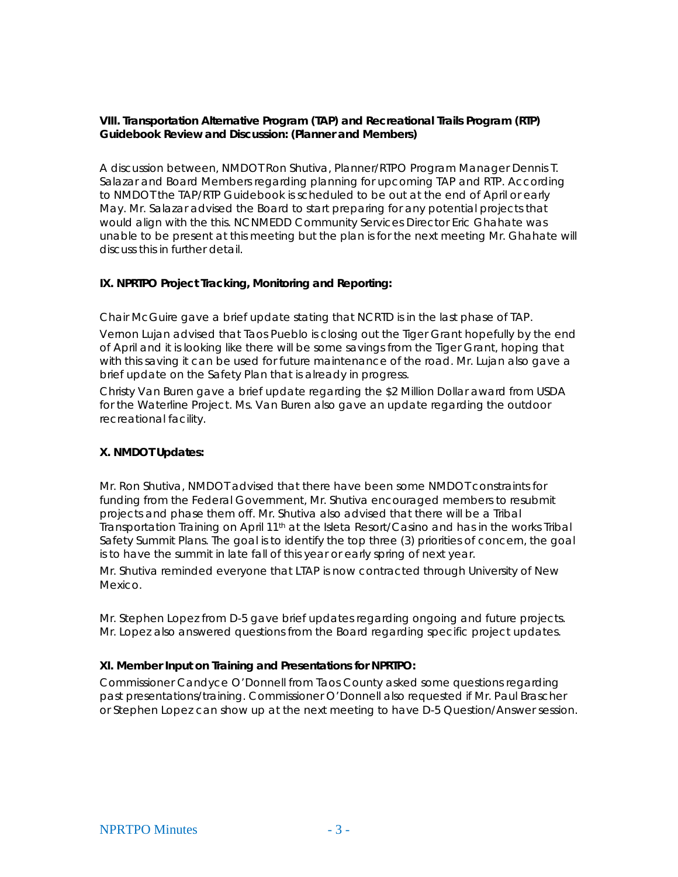## **VIII. Transportation Alternative Program (TAP) and Recreational Trails Program (RTP) Guidebook Review and Discussion: (Planner and Members)**

A discussion between, NMDOT Ron Shutiva, Planner/RTPO Program Manager Dennis T. Salazar and Board Members regarding planning for upcoming TAP and RTP. According to NMDOT the TAP/RTP Guidebook is scheduled to be out at the end of April or early May. Mr. Salazar advised the Board to start preparing for any potential projects that would align with the this. NCNMEDD Community Services Director Eric Ghahate was unable to be present at this meeting but the plan is for the next meeting Mr. Ghahate will discuss this in further detail.

## **IX. NPRTPO Project Tracking, Monitoring and Reporting:**

Chair McGuire gave a brief update stating that NCRTD is in the last phase of TAP. Vernon Lujan advised that Taos Pueblo is closing out the Tiger Grant hopefully by the end of April and it is looking like there will be some savings from the Tiger Grant, hoping that with this saving it can be used for future maintenance of the road. Mr. Lujan also gave a brief update on the Safety Plan that is already in progress.

Christy Van Buren gave a brief update regarding the \$2 Million Dollar award from USDA for the Waterline Project. Ms. Van Buren also gave an update regarding the outdoor recreational facility.

## **X. NMDOT Updates:**

Mr. Ron Shutiva, NMDOT advised that there have been some NMDOT constraints for funding from the Federal Government, Mr. Shutiva encouraged members to resubmit projects and phase them off. Mr. Shutiva also advised that there will be a Tribal Transportation Training on April 11<sup>th</sup> at the Isleta Resort/Casino and has in the works Tribal Safety Summit Plans. The goal is to identify the top three (3) priorities of concern, the goal is to have the summit in late fall of this year or early spring of next year.

Mr. Shutiva reminded everyone that LTAP is now contracted through University of New Mexico.

Mr. Stephen Lopez from D-5 gave brief updates regarding ongoing and future projects. Mr. Lopez also answered questions from the Board regarding specific project updates.

## **XI. Member Input on Training and Presentations for NPRTPO:**

Commissioner Candyce O'Donnell from Taos County asked some questions regarding past presentations/training. Commissioner O'Donnell also requested if Mr. Paul Brascher or Stephen Lopez can show up at the next meeting to have D-5 Question/Answer session.